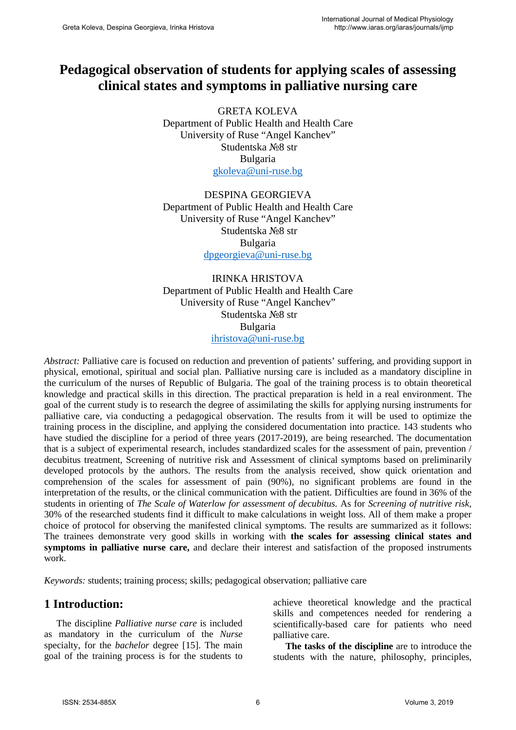# **Pedagogical observation of students for applying scales of assessing clinical states and symptoms in palliative nursing care**

GRETA KOLEVA Department of Public Health and Health Care University of Ruse "Angel Kanchev" Studentska №8 str Bulgaria [gkoleva@uni-ruse.bg](mailto:gkoleva@uni-ruse.bg)

DESPINA GEORGIEVA Department of Public Health and Health Care University of Ruse "Angel Kanchev" Studentska №8 str Bulgaria [dpgeorgieva@uni-ruse.bg](mailto:dpgeorgieva@uni-ruse.bg)

IRINKA HRISTOVA Department of Public Health and Health Care University of Ruse "Angel Kanchev" Studentska №8 str Bulgaria [ihristova@uni-ruse.bg](mailto:ihristova@uni-ruse.bg)

*Abstract:* Palliative care is focused on reduction and prevention of patients' suffering, and providing support in physical, emotional, spiritual and social plan. Palliative nursing care is included as a mandatory discipline in the curriculum of the nurses of Republic of Bulgaria. The goal of the training process is to obtain theoretical knowledge and practical skills in this direction. The practical preparation is held in a real environment. The goal of the current study is to research the degree of assimilating the skills for applying nursing instruments for palliative care, via conducting a pedagogical observation. The results from it will be used to optimize the training process in the discipline, and applying the considered documentation into practice. 143 students who have studied the discipline for a period of three years (2017-2019), are being researched. The documentation that is a subject of experimental research, includes standardized scales for the assessment of pain, prevention / decubitus treatment, Screening of nutritive risk and Assessment of clinical symptoms based on preliminarily developed protocols by the authors. The results from the analysis received, show quick orientation and comprehension of the scales for assessment of pain (90%), no significant problems are found in the interpretation of the results, or the clinical communication with the patient. Difficulties are found in 36% of the students in orienting of *The Scale of Waterlow for assessment of decubitus.* As for *Screening of nutritive risk,*  30% of the researched students find it difficult to make calculations in weight loss. All of them make a proper choice of protocol for observing the manifested clinical symptoms. The results are summarized as it follows: The trainees demonstrate very good skills in working with **the scales for assessing clinical states and symptoms in palliative nurse care,** and declare their interest and satisfaction of the proposed instruments work.

*Keywords:* students; training process; skills; pedagogical observation; palliative care

## **1 Introduction:**

The discipline *Palliative nurse care* is included as mandatory in the curriculum of the *Nurse*  specialty, for the *bachelor* degree [15]. The main goal of the training process is for the students to achieve theoretical knowledge and the practical skills and competences needed for rendering a scientifically-based care for patients who need palliative care.

**The tasks of the discipline** are to introduce the students with the nature, philosophy, principles,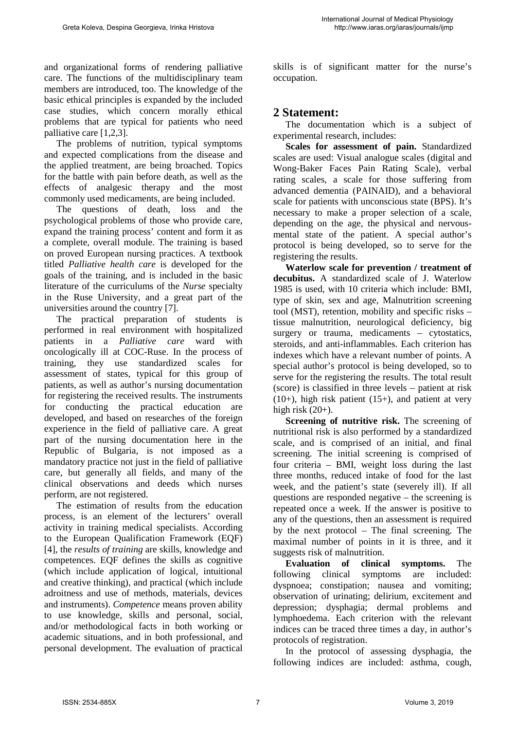and organizational forms of rendering palliative care. The functions of the multidisciplinary team members are introduced, too. The knowledge of the basic ethical principles is expanded by the included case studies, which concern morally ethical problems that are typical for patients who need palliative care [1,2,3].

The problems of nutrition, typical symptoms and expected complications from the disease and the applied treatment, are being broached. Topics for the battle with pain before death, as well as the effects of analgesic therapy and the most commonly used medicaments, are being included.

The questions of death, loss and the psychological problems of those who provide care, expand the training process' content and form it as a complete, overall module. The training is based on proved European nursing practices. A textbook titled *Palliative health care* is developed for the goals of the training, and is included in the basic literature of the curriculums of the *Nurse* specialty in the Ruse University, and a great part of the universities around the country [7].

The practical preparation of students is performed in real environment with hospitalized patients in a *Palliative care* ward with oncologically ill at COC-Ruse. In the process of training, they use standardized scales for assessment of states, typical for this group of patients, as well as author's nursing documentation for registering the received results. The instruments for conducting the practical education are developed, and based on researches of the foreign experience in the field of palliative care. A great part of the nursing documentation here in the Republic of Bulgaria, is not imposed as a mandatory practice not just in the field of palliative care, but generally all fields, and many of the clinical observations and deeds which nurses perform, are not registered.

The estimation of results from the education process, is an element of the lecturers' overall activity in training medical specialists. According to the European Qualification Framework (EQF) [4], the *results of training* are skills, knowledge and competences. EQF defines the skills as cognitive (which include application of logical, intuitional and creative thinking), and practical (which include adroitness and use of methods, materials, devices and instruments). *Competence* means proven ability to use knowledge, skills and personal, social, and/or methodological facts in both working or academic situations, and in both professional, and personal development. The evaluation of practical

skills is of significant matter for the nurse's occupation.

### **2 Statement:**

The documentation which is a subject of experimental research, includes:

**Scales for assessment of pain.** Standardized scales are used: Visual analogue scales (digital and Wong-Baker Faces Pain Rating Scale), verbal rating scales, a scale for those suffering from advanced dementia (PAINAID), and a behavioral scale for patients with unconscious state (BPS). It's necessary to make a proper selection of a scale, depending on the age, the physical and nervousmental state of the patient. A special author's protocol is being developed, so to serve for the registering the results.

**Waterlow scale for prevention / treatment of decubitus.** A standardized scale of J. Waterlow 1985 is used, with 10 criteria which include: BMI, type of skin, sex and age, Malnutrition screening tool (MST), retention, mobility and specific risks – tissue malnutrition, neurological deficiency, big surgery or trauma, medicaments – cytostatics, steroids, and anti-inflammables. Each criterion has indexes which have a relevant number of points. A special author's protocol is being developed, so to serve for the registering the results. The total result (score) is classified in three levels – patient at risk  $(10+)$ , high risk patient  $(15+)$ , and patient at very high risk  $(20+)$ .

**Screening of nutritive risk.** The screening of nutritional risk is also performed by a standardized scale, and is comprised of an initial, and final screening. The initial screening is comprised of four criteria – BMI, weight loss during the last three months, reduced intake of food for the last week, and the patient's state (severely ill). If all questions are responded negative – the screening is repeated once a week. If the answer is positive to any of the questions, then an assessment is required by the next protocol – The final screening. The maximal number of points in it is three, and it suggests risk of malnutrition.

**Evaluation of clinical symptoms.** The following clinical symptoms are included: dyspnoea; constipation; nausea and vomiting; observation of urinating; delirium, excitement and depression; dysphagia; dermal problems and lymphoedema. Each criterion with the relevant indices can be traced three times a day, in author's protocols of registration.

In the protocol of assessing dysphagia, the following indices are included: asthma, cough,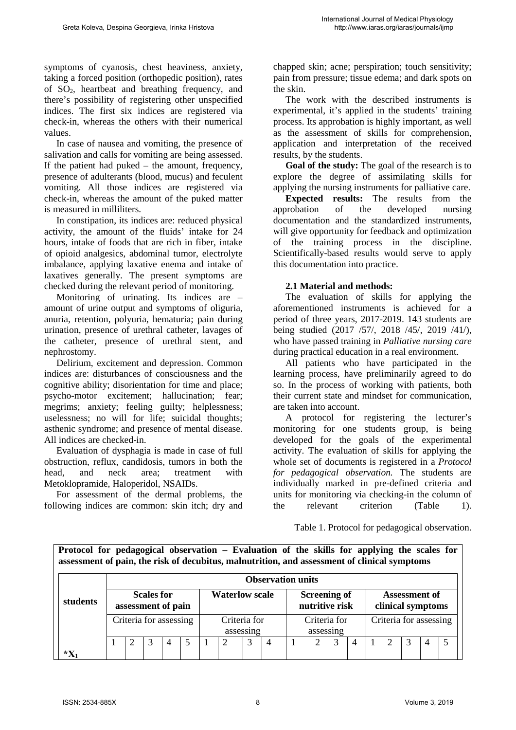symptoms of cyanosis, chest heaviness, anxiety, taking a forced position (orthopedic position), rates of  $SO_2$ , heartbeat and breathing frequency, and there's possibility of registering other unspecified indices. The first six indices are registered via check-in, whereas the others with their numerical values.

In case of nausea and vomiting, the presence of salivation and calls for vomiting are being assessed. If the patient had puked – the amount, frequency, presence of adulterants (blood, mucus) and feculent vomiting. All those indices are registered via check-in, whereas the amount of the puked matter is measured in milliliters.

In constipation, its indices are: reduced physical activity, the amount of the fluids' intake for 24 hours, intake of foods that are rich in fiber, intake of opioid analgesics, abdominal tumor, electrolyte imbalance, applying laxative enema and intake of laxatives generally. The present symptoms are checked during the relevant period of monitoring.

Monitoring of urinating. Its indices are – amount of urine output and symptoms of oliguria, anuria, retention, polyuria, hematuria; pain during urination, presence of urethral catheter, lavages of the catheter, presence of urethral stent, and nephrostomy.

Delirium, excitement and depression. Common indices are: disturbances of consciousness and the cognitive ability; disorientation for time and place; psycho-motor excitement; hallucination; fear; megrims; anxiety; feeling guilty; helplessness; uselessness; no will for life; suicidal thoughts; asthenic syndrome; and presence of mental disease. All indices are checked-in.

Evaluation of dysphagia is made in case of full obstruction, reflux, candidosis, tumors in both the head, and neck area; treatment with Metoklopramide, Haloperidol, NSAIDs.

For assessment of the dermal problems, the following indices are common: skin itch; dry and chapped skin; acne; perspiration; touch sensitivity; pain from pressure; tissue edema; and dark spots on the skin.

The work with the described instruments is experimental, it's applied in the students' training process. Its approbation is highly important, as well as the assessment of skills for comprehension, application and interpretation of the received results, by the students.

**Goal of the study:** The goal of the research is to explore the degree of assimilating skills for applying the nursing instruments for palliative care.

**Expected results:** The results from the approbation of the developed nursing documentation and the standardized instruments, will give opportunity for feedback and optimization of the training process in the discipline. Scientifically-based results would serve to apply this documentation into practice.

#### **2.1 Material and methods:**

The evaluation of skills for applying the aforementioned instruments is achieved for a period of three years, 2017-2019. 143 students are being studied (2017 /57/, 2018 /45/, 2019 /41/), who have passed training in *Palliative nursing care*  during practical education in a real environment.

All patients who have participated in the learning process, have preliminarily agreed to do so. In the process of working with patients, both their current state and mindset for communication, are taken into account.

A protocol for registering the lecturer's monitoring for one students group, is being developed for the goals of the experimental activity. The evaluation of skills for applying the whole set of documents is registered in a *Protocol for pedagogical observation.* The students are individually marked in pre-defined criteria and units for monitoring via checking-in the column of the relevant criterion (Table 1).

Table 1. Protocol for pedagogical observation.

**Protocol for pedagogical observation – Evaluation of the skills for applying the scales for assessment of pain, the risk of decubitus, malnutrition, and assessment of clinical symptoms**

|          |                                         | <b>Observation units</b> |  |                        |  |                           |  |  |                                       |                           |   |  |                                           |                        |  |  |  |  |  |
|----------|-----------------------------------------|--------------------------|--|------------------------|--|---------------------------|--|--|---------------------------------------|---------------------------|---|--|-------------------------------------------|------------------------|--|--|--|--|--|
| students | <b>Scales for</b><br>assessment of pain |                          |  |                        |  | <b>Waterlow scale</b>     |  |  | <b>Screening of</b><br>nutritive risk |                           |   |  | <b>Assessment of</b><br>clinical symptoms |                        |  |  |  |  |  |
|          |                                         |                          |  | Criteria for assessing |  | Criteria for<br>assessing |  |  |                                       | Criteria for<br>assessing |   |  |                                           | Criteria for assessing |  |  |  |  |  |
|          |                                         |                          |  | $\overline{4}$         |  |                           |  |  |                                       |                           | റ |  |                                           |                        |  |  |  |  |  |
| $*X$     |                                         |                          |  |                        |  |                           |  |  |                                       |                           |   |  |                                           |                        |  |  |  |  |  |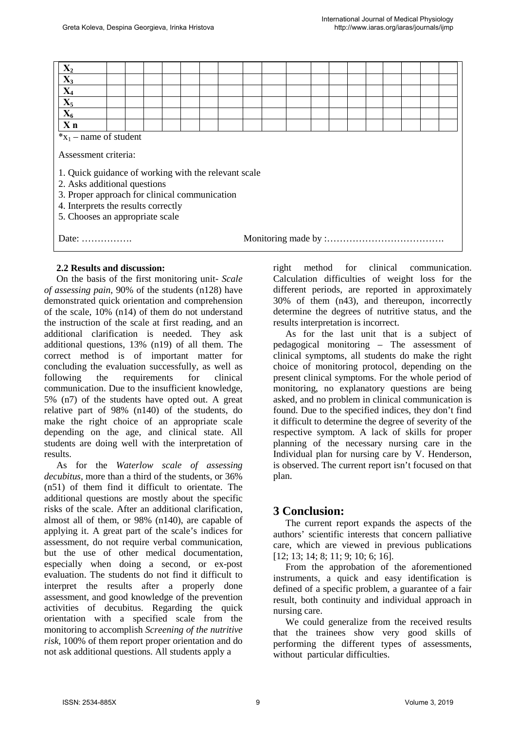| $\frac{X_2}{X_3}$<br>$\frac{X_4}{X_5}$<br>$\frac{X_5}{X_6}$                                                                                                                                                     |  |  |  |  |  |  |  |  |  |  |  |  |  |  |  |  |  |  |
|-----------------------------------------------------------------------------------------------------------------------------------------------------------------------------------------------------------------|--|--|--|--|--|--|--|--|--|--|--|--|--|--|--|--|--|--|
| $\overline{\mathbf{X}}$ n                                                                                                                                                                                       |  |  |  |  |  |  |  |  |  |  |  |  |  |  |  |  |  |  |
| $x_1$ – name of student<br>Assessment criteria:                                                                                                                                                                 |  |  |  |  |  |  |  |  |  |  |  |  |  |  |  |  |  |  |
| 1. Quick guidance of working with the relevant scale<br>2. Asks additional questions<br>3. Proper approach for clinical communication<br>4. Interprets the results correctly<br>5. Chooses an appropriate scale |  |  |  |  |  |  |  |  |  |  |  |  |  |  |  |  |  |  |
| Date:                                                                                                                                                                                                           |  |  |  |  |  |  |  |  |  |  |  |  |  |  |  |  |  |  |

#### **2.2 Results and discussion:**

On the basis of the first monitoring unit- *Scale of assessing pain,* 90% of the students (n128) have demonstrated quick orientation and comprehension of the scale, 10% (n14) of them do not understand the instruction of the scale at first reading, and an additional clarification is needed. They ask additional questions, 13% (n19) of all them. The correct method is of important matter for concluding the evaluation successfully, as well as following the requirements for clinical communication. Due to the insufficient knowledge, 5% (n7) of the students have opted out. A great relative part of 98% (n140) of the students, do make the right choice of an appropriate scale depending on the age, and clinical state. All students are doing well with the interpretation of results.

As for the *Waterlow scale of assessing decubitus,* more than a third of the students, or 36% (n51) of them find it difficult to orientate. The additional questions are mostly about the specific risks of the scale. After an additional clarification, almost all of them, or 98% (n140), are capable of applying it. A great part of the scale's indices for assessment, do not require verbal communication, but the use of other medical documentation, especially when doing a second, or ex-post evaluation. The students do not find it difficult to interpret the results after a properly done assessment, and good knowledge of the prevention activities of decubitus. Regarding the quick orientation with a specified scale from the monitoring to accomplish *Screening of the nutritive risk,* 100% of them report proper orientation and do not ask additional questions. All students apply a

right method for clinical communication. Calculation difficulties of weight loss for the different periods, are reported in approximately 30% of them (n43), and thereupon, incorrectly determine the degrees of nutritive status, and the results interpretation is incorrect.

As for the last unit that is a subject of pedagogical monitoring – The assessment of clinical symptoms, all students do make the right choice of monitoring protocol, depending on the present clinical symptoms. For the whole period of monitoring, no explanatory questions are being asked, and no problem in clinical communication is found. Due to the specified indices, they don't find it difficult to determine the degree of severity of the respective symptom. A lack of skills for proper planning of the necessary nursing care in the Individual plan for nursing care by V. Henderson, is observed. The current report isn't focused on that plan.

### **3 Conclusion:**

The current report expands the aspects of the authors' scientific interests that concern palliative care, which are viewed in previous publications [12; 13; 14; 8; 11; 9; 10; 6; 16].

From the approbation of the aforementioned instruments, a quick and easy identification is defined of a specific problem, a guarantee of a fair result, both continuity and individual approach in nursing care.

We could generalize from the received results that the trainees show very good skills of performing the different types of assessments, without particular difficulties.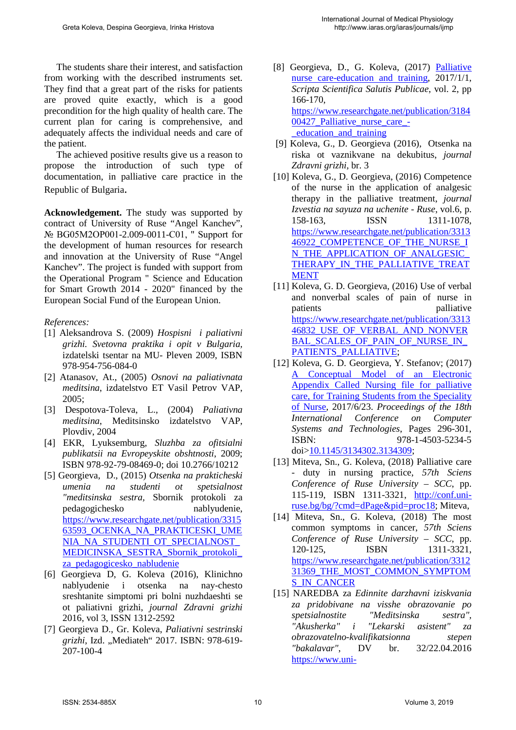The students share their interest, and satisfaction from working with the described instruments set. They find that a great part of the risks for patients are proved quite exactly, which is a good precondition for the high quality of health care. The current plan for caring is comprehensive, and adequately affects the individual needs and care of the patient.

The achieved positive results give us a reason to propose the introduction of such type of documentation, in palliative care practice in the Republic of Bulgaria.

**Acknowledgement.** The study was supported by contract of University of Ruse "Angel Kanchev", № BG05M2OP001-2.009-0011-С01, " Support for the development of human resources for research and innovation at the University of Ruse "Angel Kanchev". The project is funded with support from the Operational Program " Science and Education for Smart Growth 2014 - 2020" financed by the European Social Fund of the European Union.

#### *References:*

- [1] Aleksandrova S. (2009) *Hospisni i paliativni grizhi. Svetovna praktika i opit v Bulgaria,* izdatelski tsentar na MU- Pleven 2009, ISBN 978-954-756-084-0
- [2] Atanasov, At., (2005) *Osnovi na paliativnata meditsina*, izdatelstvo ET Vasil Petrov VAP, 2005;
- [3] Despotova-Toleva, L., (2004) *Paliativna meditsina*, Meditsinsko izdatelstvo VAP, Plovdiv, 2004
- [4] EKR, Lyuksemburg, *Sluzhba za ofitsialni publikatsii na Evropeyskite obshtnosti*, 2009; ISBN 978-92-79-08469-0; doi 10.2766/10212
- [5] Georgieva, D., (2015) *Otsenka na prakticheski umenia na studenti ot spetsialnost "meditsinska sestra,* Sbornik protokoli za pedagogichesko nablyudenie, [https://www.researchgate.net/publication/3315](https://www.researchgate.net/publication/331563593_OCENKA_NA_PRAKTICESKI_UMENIA_NA_STUDENTI_OT_SPECIALNOST_MEDICINSKA_SESTRA_Sbornik_protokoli_za_pedagogicesko_nabludenie) [63593\\_OCENKA\\_NA\\_PRAKTICESKI\\_UME](https://www.researchgate.net/publication/331563593_OCENKA_NA_PRAKTICESKI_UMENIA_NA_STUDENTI_OT_SPECIALNOST_MEDICINSKA_SESTRA_Sbornik_protokoli_za_pedagogicesko_nabludenie) [NIA\\_NA\\_STUDENTI\\_OT\\_SPECIALNOST\\_](https://www.researchgate.net/publication/331563593_OCENKA_NA_PRAKTICESKI_UMENIA_NA_STUDENTI_OT_SPECIALNOST_MEDICINSKA_SESTRA_Sbornik_protokoli_za_pedagogicesko_nabludenie) [MEDICINSKA\\_SESTRA\\_Sbornik\\_protokoli\\_](https://www.researchgate.net/publication/331563593_OCENKA_NA_PRAKTICESKI_UMENIA_NA_STUDENTI_OT_SPECIALNOST_MEDICINSKA_SESTRA_Sbornik_protokoli_za_pedagogicesko_nabludenie) [za\\_pedagogicesko\\_nabludenie](https://www.researchgate.net/publication/331563593_OCENKA_NA_PRAKTICESKI_UMENIA_NA_STUDENTI_OT_SPECIALNOST_MEDICINSKA_SESTRA_Sbornik_protokoli_za_pedagogicesko_nabludenie)
- [6] Georgieva D, G. Koleva (2016), Klinichno nablyudenie i otsenka na nay-chesto sreshtanite simptomi pri bolni nuzhdaeshti se ot paliativni grizhi, *journal Zdravni grizhi* 2016, vol 3, ISSN 1312-2592
- [7] Georgieva D., Gr. Koleva, *Paliativni sestrinski grizhi*, Izd. "Mediateh" 2017. ISBN: 978-619- 207-100-4
- [8] Georgieva, D., G. Koleva, (2017) Palliative [nurse care-education and training,](http://journals.mu-varna.bg/index.php/sssp/article/view/4039) 2017/1/1, *Scripta Scientifica Salutis Publicae*, vol. 2, pp 166-170, [https://www.researchgate.net/publication/3184](https://www.researchgate.net/publication/318400427_Palliative_nurse_care_-_education_and_training) [00427\\_Palliative\\_nurse\\_care\\_-](https://www.researchgate.net/publication/318400427_Palliative_nurse_care_-_education_and_training) [\\_education\\_and\\_training](https://www.researchgate.net/publication/318400427_Palliative_nurse_care_-_education_and_training)
- [9] Koleva, G., D. Georgieva (2016), Otsenka na riska ot vaznikvane na dekubitus, *journal Zdravni grizhi,* br. 3
- [10] Koleva, G., D. Georgieva, (2016) Competence of the nurse in the application of analgesic therapy in the palliative treatment, *journal Izvestia na sayuza na uchenite - Ruse*, vol.6, p. 158-163, **ISSN** 1311-1078, [https://www.researchgate.net/publication/3313](https://www.researchgate.net/publication/331346922_COMPETENCE_OF_THE_NURSE_IN_THE_APPLICATION_OF_ANALGESIC_THERAPY_IN_THE_PALLIATIVE_TREATMENT) [46922\\_COMPETENCE\\_OF\\_THE\\_NURSE\\_I](https://www.researchgate.net/publication/331346922_COMPETENCE_OF_THE_NURSE_IN_THE_APPLICATION_OF_ANALGESIC_THERAPY_IN_THE_PALLIATIVE_TREATMENT) N\_THE\_APPLICATION\_OF\_ANALGESIC [THERAPY\\_IN\\_THE\\_PALLIATIVE\\_TREAT](https://www.researchgate.net/publication/331346922_COMPETENCE_OF_THE_NURSE_IN_THE_APPLICATION_OF_ANALGESIC_THERAPY_IN_THE_PALLIATIVE_TREATMENT) **[MENT](https://www.researchgate.net/publication/331346922_COMPETENCE_OF_THE_NURSE_IN_THE_APPLICATION_OF_ANALGESIC_THERAPY_IN_THE_PALLIATIVE_TREATMENT)**
- [11] Koleva, G. D. Georgieva, (2016) Use of verbal and nonverbal scales of pain of nurse in patients palliative [https://www.researchgate.net/publication/3313](https://www.researchgate.net/publication/331346832_USE_OF_VERBAL_AND_NONVERBAL_SCALES_OF_PAIN_OF_NURSE_IN_PATIENTS_PALLIATIVE) 46832 USE OF VERBAL AND NONVER [BAL\\_SCALES\\_OF\\_PAIN\\_OF\\_NURSE\\_IN\\_](https://www.researchgate.net/publication/331346832_USE_OF_VERBAL_AND_NONVERBAL_SCALES_OF_PAIN_OF_NURSE_IN_PATIENTS_PALLIATIVE) [PATIENTS\\_PALLIATIVE;](https://www.researchgate.net/publication/331346832_USE_OF_VERBAL_AND_NONVERBAL_SCALES_OF_PAIN_OF_NURSE_IN_PATIENTS_PALLIATIVE)
- [12] Koleva, G. D. Georgieva, Y. Stefanov; (2017) [A Conceptual Model of an Electronic](https://dl.acm.org/citation.cfm?id=3134309)  [Appendix Called Nursing file for palliative](https://dl.acm.org/citation.cfm?id=3134309)  [care, for Training Students from the Speciality](https://dl.acm.org/citation.cfm?id=3134309)  [of Nurse,](https://dl.acm.org/citation.cfm?id=3134309) 2017/6/23. *Proceedings of the 18th International Conference on Computer Systems and Technologies*, Pages 296-301, ISBN: 978-1-4503-5234-5 doi[>10.1145/3134302.3134309;](https://doi.org/10.1145/3134302.3134309)
- [13] Miteva, Sn., G. Koleva, (2018) Palliative care - duty in nursing practice, *57th Sciens Conference of Ruse University – SCC*, pp. 115-119, ISBN 1311-3321, [http://conf.uni](http://conf.uni-ruse.bg/bg/?cmd=dPage&pid=proc18)[ruse.bg/bg/?cmd=dPage&pid=proc18;](http://conf.uni-ruse.bg/bg/?cmd=dPage&pid=proc18) Miteva,
- [14] Miteva, Sn., G. Koleva, (2018) The most common symptoms in cancer, *57th Sciens Conference of Ruse University – SCC*, pp. 120-125, **ISBN** 1311-3321, [https://www.researchgate.net/publication/3312](https://www.researchgate.net/publication/331231369_THE_MOST_COMMON_SYMPTOMS_IN_CANCER) [31369\\_THE\\_MOST\\_COMMON\\_SYMPTOM](https://www.researchgate.net/publication/331231369_THE_MOST_COMMON_SYMPTOMS_IN_CANCER) [S\\_IN\\_CANCER](https://www.researchgate.net/publication/331231369_THE_MOST_COMMON_SYMPTOMS_IN_CANCER)
- [15] NAREDBA za *Edinnite darzhavni iziskvania za pridobivane na visshe obrazovanie po spetsialnostite "Meditsinska sestra", "Akusherka" i "Lekarski asistent" za obrazovatelno-kvalifikatsionna stepen "bakalavar"*, DV br. 32/22.04.2016 [https://www.uni-](https://www.uni-sofia.bg/index.php/bul/universitet_t/administrativna_struktura/normativna_uredba/naredbi)